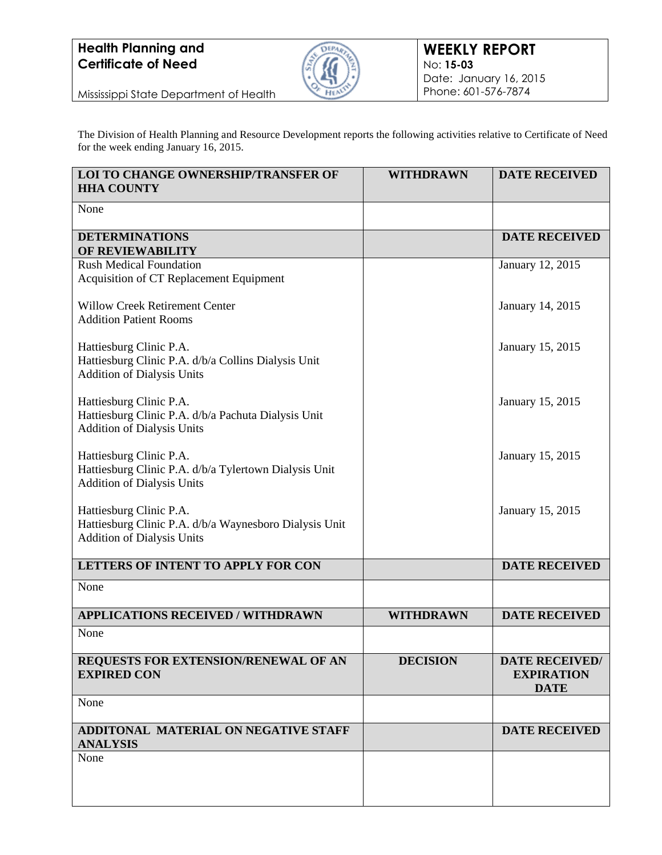

Mississippi State Department of Health

The Division of Health Planning and Resource Development reports the following activities relative to Certificate of Need for the week ending January 16, 2015.

| LOI TO CHANGE OWNERSHIP/TRANSFER OF<br><b>HHA COUNTY</b>                                                               | <b>WITHDRAWN</b> | <b>DATE RECEIVED</b>                                      |
|------------------------------------------------------------------------------------------------------------------------|------------------|-----------------------------------------------------------|
| None                                                                                                                   |                  |                                                           |
| <b>DETERMINATIONS</b><br>OF REVIEWABILITY                                                                              |                  | <b>DATE RECEIVED</b>                                      |
| <b>Rush Medical Foundation</b><br>Acquisition of CT Replacement Equipment                                              |                  | January 12, 2015                                          |
| <b>Willow Creek Retirement Center</b><br><b>Addition Patient Rooms</b>                                                 |                  | January 14, 2015                                          |
| Hattiesburg Clinic P.A.<br>Hattiesburg Clinic P.A. d/b/a Collins Dialysis Unit<br><b>Addition of Dialysis Units</b>    |                  | January 15, 2015                                          |
| Hattiesburg Clinic P.A.<br>Hattiesburg Clinic P.A. d/b/a Pachuta Dialysis Unit<br><b>Addition of Dialysis Units</b>    |                  | January 15, 2015                                          |
| Hattiesburg Clinic P.A.<br>Hattiesburg Clinic P.A. d/b/a Tylertown Dialysis Unit<br><b>Addition of Dialysis Units</b>  |                  | January 15, 2015                                          |
| Hattiesburg Clinic P.A.<br>Hattiesburg Clinic P.A. d/b/a Waynesboro Dialysis Unit<br><b>Addition of Dialysis Units</b> |                  | January 15, 2015                                          |
| LETTERS OF INTENT TO APPLY FOR CON                                                                                     |                  | <b>DATE RECEIVED</b>                                      |
| None                                                                                                                   |                  |                                                           |
| <b>APPLICATIONS RECEIVED / WITHDRAWN</b>                                                                               | <b>WITHDRAWN</b> | <b>DATE RECEIVED</b>                                      |
| None                                                                                                                   |                  |                                                           |
| REQUESTS FOR EXTENSION/RENEWAL OF AN<br><b>EXPIRED CON</b>                                                             | <b>DECISION</b>  | <b>DATE RECEIVED/</b><br><b>EXPIRATION</b><br><b>DATE</b> |
| None                                                                                                                   |                  |                                                           |
| ADDITONAL MATERIAL ON NEGATIVE STAFF<br><b>ANALYSIS</b>                                                                |                  | <b>DATE RECEIVED</b>                                      |
| None                                                                                                                   |                  |                                                           |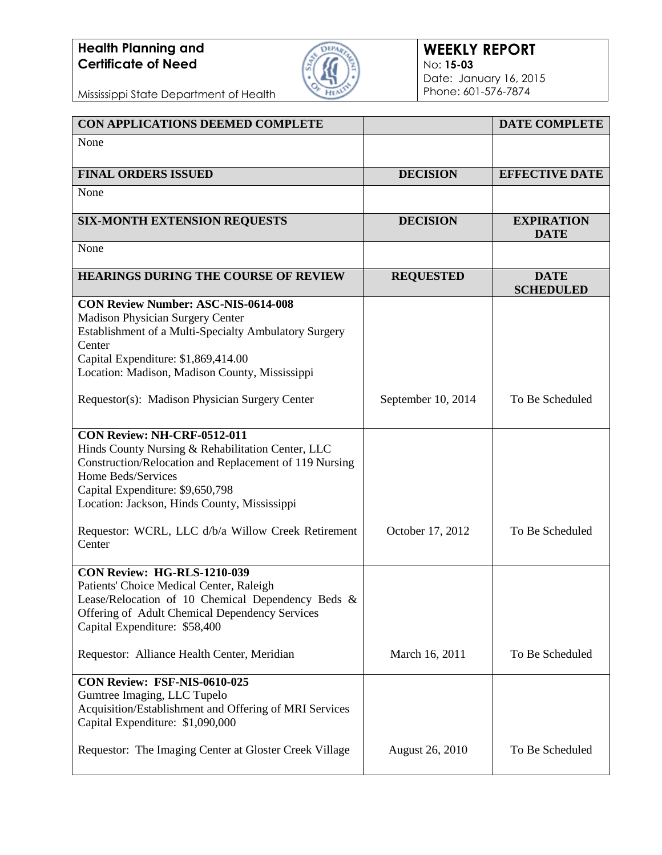

Mississippi State Department of Health

| <b>CON APPLICATIONS DEEMED COMPLETE</b>                                                                                                                                                                                                              |                        | <b>DATE COMPLETE</b>             |
|------------------------------------------------------------------------------------------------------------------------------------------------------------------------------------------------------------------------------------------------------|------------------------|----------------------------------|
| None                                                                                                                                                                                                                                                 |                        |                                  |
| <b>FINAL ORDERS ISSUED</b>                                                                                                                                                                                                                           | <b>DECISION</b>        | <b>EFFECTIVE DATE</b>            |
| None                                                                                                                                                                                                                                                 |                        |                                  |
| <b>SIX-MONTH EXTENSION REQUESTS</b>                                                                                                                                                                                                                  | <b>DECISION</b>        | <b>EXPIRATION</b><br><b>DATE</b> |
| None                                                                                                                                                                                                                                                 |                        |                                  |
| <b>HEARINGS DURING THE COURSE OF REVIEW</b>                                                                                                                                                                                                          | <b>REQUESTED</b>       | <b>DATE</b><br><b>SCHEDULED</b>  |
| <b>CON Review Number: ASC-NIS-0614-008</b><br><b>Madison Physician Surgery Center</b><br>Establishment of a Multi-Specialty Ambulatory Surgery<br>Center<br>Capital Expenditure: \$1,869,414.00<br>Location: Madison, Madison County, Mississippi    |                        |                                  |
| Requestor(s): Madison Physician Surgery Center                                                                                                                                                                                                       | September 10, 2014     | To Be Scheduled                  |
| CON Review: NH-CRF-0512-011<br>Hinds County Nursing & Rehabilitation Center, LLC<br>Construction/Relocation and Replacement of 119 Nursing<br>Home Beds/Services<br>Capital Expenditure: \$9,650,798<br>Location: Jackson, Hinds County, Mississippi |                        |                                  |
| Requestor: WCRL, LLC d/b/a Willow Creek Retirement<br>Center                                                                                                                                                                                         | October 17, 2012       | To Be Scheduled                  |
| CON Review: HG-RLS-1210-039<br>Patients' Choice Medical Center, Raleigh<br>Lease/Relocation of 10 Chemical Dependency Beds &<br>Offering of Adult Chemical Dependency Services<br>Capital Expenditure: \$58,400                                      |                        |                                  |
| Requestor: Alliance Health Center, Meridian                                                                                                                                                                                                          | March 16, 2011         | To Be Scheduled                  |
| CON Review: FSF-NIS-0610-025<br>Gumtree Imaging, LLC Tupelo<br>Acquisition/Establishment and Offering of MRI Services<br>Capital Expenditure: \$1,090,000                                                                                            |                        |                                  |
| Requestor: The Imaging Center at Gloster Creek Village                                                                                                                                                                                               | <b>August 26, 2010</b> | To Be Scheduled                  |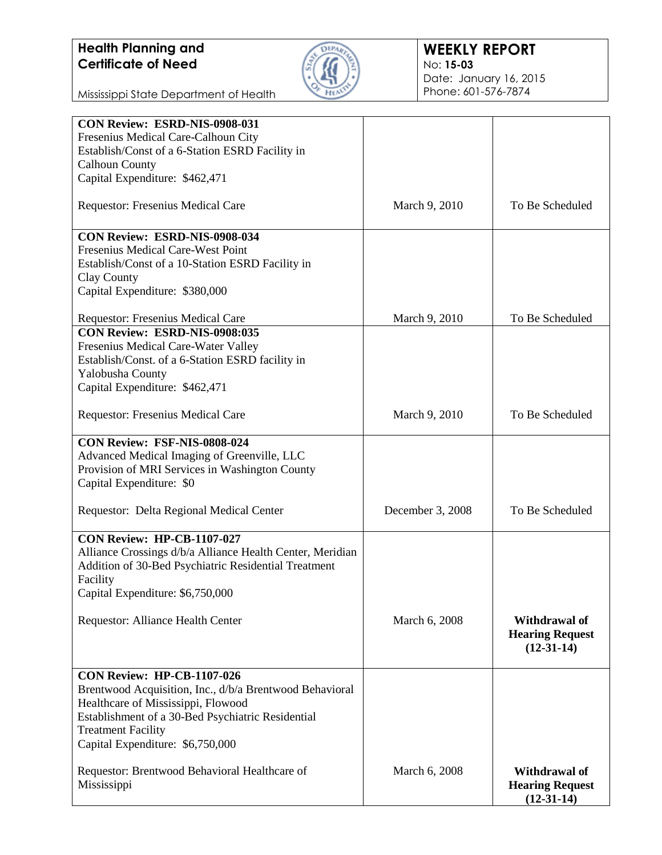

#### **WEEKLY REPORT** No: **15-03** Date: January 16, 2015 Phone: 601-576-7874

Mississippi State Department of Health

| CON Review: ESRD-NIS-0908-031                             |                  |                        |
|-----------------------------------------------------------|------------------|------------------------|
| Fresenius Medical Care-Calhoun City                       |                  |                        |
| Establish/Const of a 6-Station ESRD Facility in           |                  |                        |
| <b>Calhoun County</b>                                     |                  |                        |
| Capital Expenditure: \$462,471                            |                  |                        |
|                                                           |                  |                        |
| <b>Requestor: Fresenius Medical Care</b>                  | March 9, 2010    | To Be Scheduled        |
|                                                           |                  |                        |
| CON Review: ESRD-NIS-0908-034                             |                  |                        |
| Fresenius Medical Care-West Point                         |                  |                        |
| Establish/Const of a 10-Station ESRD Facility in          |                  |                        |
| Clay County                                               |                  |                        |
| Capital Expenditure: \$380,000                            |                  |                        |
|                                                           |                  |                        |
| Requestor: Fresenius Medical Care                         | March 9, 2010    | To Be Scheduled        |
| CON Review: ESRD-NIS-0908:035                             |                  |                        |
| Fresenius Medical Care-Water Valley                       |                  |                        |
| Establish/Const. of a 6-Station ESRD facility in          |                  |                        |
| Yalobusha County                                          |                  |                        |
| Capital Expenditure: \$462,471                            |                  |                        |
|                                                           |                  |                        |
| Requestor: Fresenius Medical Care                         | March 9, 2010    | To Be Scheduled        |
|                                                           |                  |                        |
| CON Review: FSF-NIS-0808-024                              |                  |                        |
| Advanced Medical Imaging of Greenville, LLC               |                  |                        |
| Provision of MRI Services in Washington County            |                  |                        |
|                                                           |                  |                        |
| Capital Expenditure: \$0                                  |                  |                        |
|                                                           |                  | To Be Scheduled        |
| Requestor: Delta Regional Medical Center                  | December 3, 2008 |                        |
| CON Review: HP-CB-1107-027                                |                  |                        |
|                                                           |                  |                        |
| Alliance Crossings d/b/a Alliance Health Center, Meridian |                  |                        |
| Addition of 30-Bed Psychiatric Residential Treatment      |                  |                        |
| Facility                                                  |                  |                        |
| Capital Expenditure: \$6,750,000                          |                  |                        |
|                                                           |                  |                        |
| Requestor: Alliance Health Center                         | March 6, 2008    | Withdrawal of          |
|                                                           |                  | <b>Hearing Request</b> |
|                                                           |                  | $(12-31-14)$           |
|                                                           |                  |                        |
| <b>CON Review: HP-CB-1107-026</b>                         |                  |                        |
| Brentwood Acquisition, Inc., d/b/a Brentwood Behavioral   |                  |                        |
| Healthcare of Mississippi, Flowood                        |                  |                        |
| Establishment of a 30-Bed Psychiatric Residential         |                  |                        |
| <b>Treatment Facility</b>                                 |                  |                        |
|                                                           |                  |                        |
| Capital Expenditure: \$6,750,000                          |                  |                        |
|                                                           |                  |                        |
| Requestor: Brentwood Behavioral Healthcare of             | March 6, 2008    | Withdrawal of          |
| Mississippi                                               |                  | <b>Hearing Request</b> |
|                                                           |                  | $(12-31-14)$           |